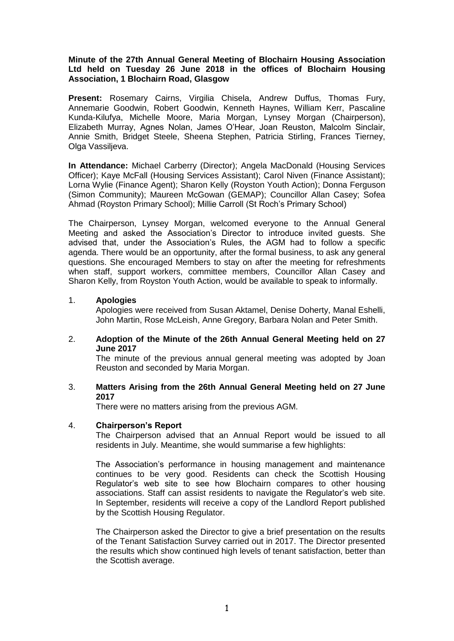### **Minute of the 27th Annual General Meeting of Blochairn Housing Association Ltd held on Tuesday 26 June 2018 in the offices of Blochairn Housing Association, 1 Blochairn Road, Glasgow**

**Present:** Rosemary Cairns, Virgilia Chisela, Andrew Duffus, Thomas Fury, Annemarie Goodwin, Robert Goodwin, Kenneth Haynes, William Kerr, Pascaline Kunda-Kilufya, Michelle Moore, Maria Morgan, Lynsey Morgan (Chairperson), Elizabeth Murray, Agnes Nolan, James O'Hear, Joan Reuston, Malcolm Sinclair, Annie Smith, Bridget Steele, Sheena Stephen, Patricia Stirling, Frances Tierney, Olga Vassiljeva.

**In Attendance:** Michael Carberry (Director); Angela MacDonald (Housing Services Officer); Kaye McFall (Housing Services Assistant); Carol Niven (Finance Assistant); Lorna Wylie (Finance Agent); Sharon Kelly (Royston Youth Action); Donna Ferguson (Simon Community); Maureen McGowan (GEMAP); Councillor Allan Casey; Sofea Ahmad (Royston Primary School); Millie Carroll (St Roch's Primary School)

The Chairperson, Lynsey Morgan, welcomed everyone to the Annual General Meeting and asked the Association's Director to introduce invited guests. She advised that, under the Association's Rules, the AGM had to follow a specific agenda. There would be an opportunity, after the formal business, to ask any general questions. She encouraged Members to stay on after the meeting for refreshments when staff, support workers, committee members, Councillor Allan Casey and Sharon Kelly, from Royston Youth Action, would be available to speak to informally.

### 1. **Apologies**

Apologies were received from Susan Aktamel, Denise Doherty, Manal Eshelli, John Martin, Rose McLeish, Anne Gregory, Barbara Nolan and Peter Smith.

2. **Adoption of the Minute of the 26th Annual General Meeting held on 27 June 2017**

The minute of the previous annual general meeting was adopted by Joan Reuston and seconded by Maria Morgan.

3. **Matters Arising from the 26th Annual General Meeting held on 27 June 2017**

There were no matters arising from the previous AGM.

#### 4. **Chairperson's Report**

The Chairperson advised that an Annual Report would be issued to all residents in July. Meantime, she would summarise a few highlights:

The Association's performance in housing management and maintenance continues to be very good. Residents can check the Scottish Housing Regulator's web site to see how Blochairn compares to other housing associations. Staff can assist residents to navigate the Regulator's web site. In September, residents will receive a copy of the Landlord Report published by the Scottish Housing Regulator.

The Chairperson asked the Director to give a brief presentation on the results of the Tenant Satisfaction Survey carried out in 2017. The Director presented the results which show continued high levels of tenant satisfaction, better than the Scottish average.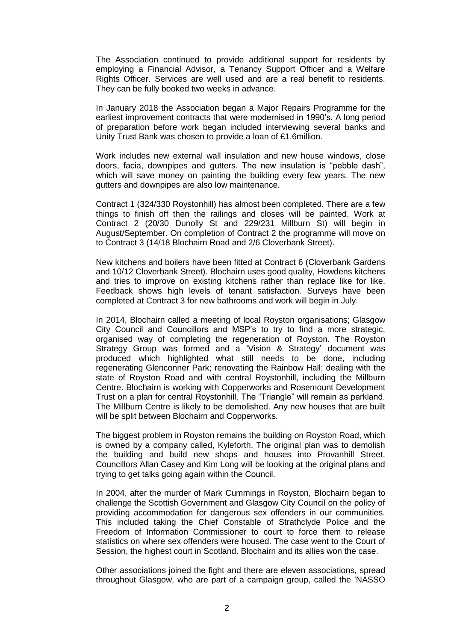The Association continued to provide additional support for residents by employing a Financial Advisor, a Tenancy Support Officer and a Welfare Rights Officer. Services are well used and are a real benefit to residents. They can be fully booked two weeks in advance.

In January 2018 the Association began a Major Repairs Programme for the earliest improvement contracts that were modernised in 1990's. A long period of preparation before work began included interviewing several banks and Unity Trust Bank was chosen to provide a loan of £1.6million.

Work includes new external wall insulation and new house windows, close doors, facia, downpipes and gutters. The new insulation is "pebble dash", which will save money on painting the building every few years. The new gutters and downpipes are also low maintenance.

Contract 1 (324/330 Roystonhill) has almost been completed. There are a few things to finish off then the railings and closes will be painted. Work at Contract 2 (20/30 Dunolly St and 229/231 Millburn St) will begin in August/September. On completion of Contract 2 the programme will move on to Contract 3 (14/18 Blochairn Road and 2/6 Cloverbank Street).

New kitchens and boilers have been fitted at Contract 6 (Cloverbank Gardens and 10/12 Cloverbank Street). Blochairn uses good quality, Howdens kitchens and tries to improve on existing kitchens rather than replace like for like. Feedback shows high levels of tenant satisfaction. Surveys have been completed at Contract 3 for new bathrooms and work will begin in July.

In 2014, Blochairn called a meeting of local Royston organisations; Glasgow City Council and Councillors and MSP's to try to find a more strategic, organised way of completing the regeneration of Royston. The Royston Strategy Group was formed and a 'Vision & Strategy' document was produced which highlighted what still needs to be done, including regenerating Glenconner Park; renovating the Rainbow Hall; dealing with the state of Royston Road and with central Roystonhill, including the Millburn Centre. Blochairn is working with Copperworks and Rosemount Development Trust on a plan for central Roystonhill. The "Triangle" will remain as parkland. The Millburn Centre is likely to be demolished. Any new houses that are built will be split between Blochairn and Copperworks.

The biggest problem in Royston remains the building on Royston Road, which is owned by a company called, Kyleforth. The original plan was to demolish the building and build new shops and houses into Provanhill Street. Councillors Allan Casey and Kim Long will be looking at the original plans and trying to get talks going again within the Council.

In 2004, after the murder of Mark Cummings in Royston, Blochairn began to challenge the Scottish Government and Glasgow City Council on the policy of providing accommodation for dangerous sex offenders in our communities. This included taking the Chief Constable of Strathclyde Police and the Freedom of Information Commissioner to court to force them to release statistics on where sex offenders were housed. The case went to the Court of Session, the highest court in Scotland. Blochairn and its allies won the case.

Other associations joined the fight and there are eleven associations, spread throughout Glasgow, who are part of a campaign group, called the 'NASSO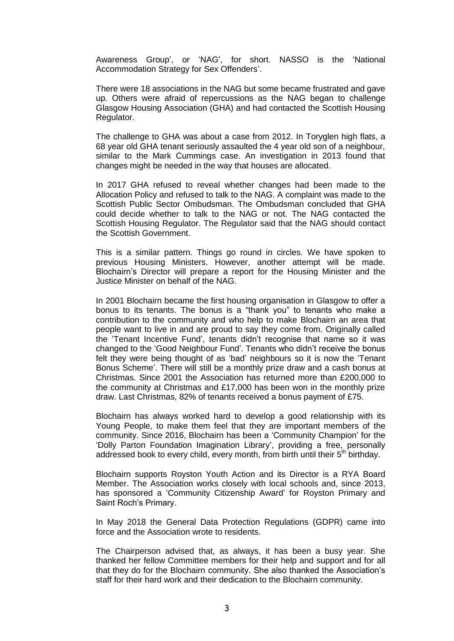Awareness Group', or 'NAG', for short. NASSO is the 'National Accommodation Strategy for Sex Offenders'.

There were 18 associations in the NAG but some became frustrated and gave up. Others were afraid of repercussions as the NAG began to challenge Glasgow Housing Association (GHA) and had contacted the Scottish Housing Regulator.

The challenge to GHA was about a case from 2012. In Toryglen high flats, a 68 year old GHA tenant seriously assaulted the 4 year old son of a neighbour, similar to the Mark Cummings case. An investigation in 2013 found that changes might be needed in the way that houses are allocated.

In 2017 GHA refused to reveal whether changes had been made to the Allocation Policy and refused to talk to the NAG. A complaint was made to the Scottish Public Sector Ombudsman. The Ombudsman concluded that GHA could decide whether to talk to the NAG or not. The NAG contacted the Scottish Housing Regulator. The Regulator said that the NAG should contact the Scottish Government.

This is a similar pattern. Things go round in circles. We have spoken to previous Housing Ministers. However, another attempt will be made. Blochairn's Director will prepare a report for the Housing Minister and the Justice Minister on behalf of the NAG.

In 2001 Blochairn became the first housing organisation in Glasgow to offer a bonus to its tenants. The bonus is a "thank you" to tenants who make a contribution to the community and who help to make Blochairn an area that people want to live in and are proud to say they come from. Originally called the 'Tenant Incentive Fund', tenants didn't recognise that name so it was changed to the 'Good Neighbour Fund'. Tenants who didn't receive the bonus felt they were being thought of as 'bad' neighbours so it is now the 'Tenant Bonus Scheme'. There will still be a monthly prize draw and a cash bonus at Christmas. Since 2001 the Association has returned more than £200,000 to the community at Christmas and £17,000 has been won in the monthly prize draw. Last Christmas, 82% of tenants received a bonus payment of £75.

Blochairn has always worked hard to develop a good relationship with its Young People, to make them feel that they are important members of the community. Since 2016, Blochairn has been a 'Community Champion' for the 'Dolly Parton Foundation Imagination Library', providing a free, personally addressed book to every child, every month, from birth until their 5<sup>th</sup> birthday.

Blochairn supports Royston Youth Action and its Director is a RYA Board Member. The Association works closely with local schools and, since 2013, has sponsored a 'Community Citizenship Award' for Royston Primary and Saint Roch's Primary.

In May 2018 the General Data Protection Regulations (GDPR) came into force and the Association wrote to residents.

The Chairperson advised that, as always, it has been a busy year. She thanked her fellow Committee members for their help and support and for all that they do for the Blochairn community. She also thanked the Association's staff for their hard work and their dedication to the Blochairn community.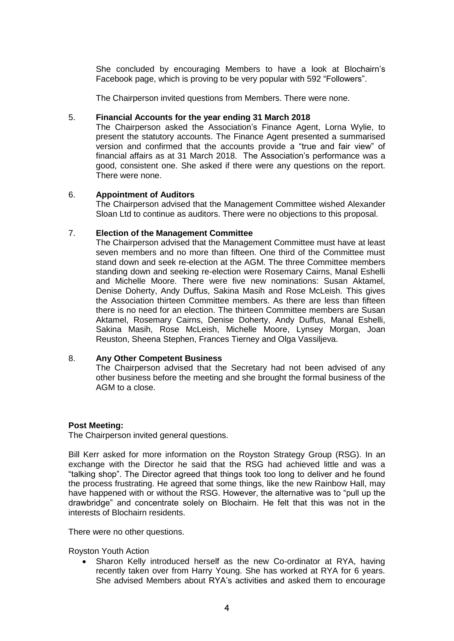She concluded by encouraging Members to have a look at Blochairn's Facebook page, which is proving to be very popular with 592 "Followers".

The Chairperson invited questions from Members. There were none.

# 5. **Financial Accounts for the year ending 31 March 2018**

The Chairperson asked the Association's Finance Agent, Lorna Wylie, to present the statutory accounts. The Finance Agent presented a summarised version and confirmed that the accounts provide a "true and fair view" of financial affairs as at 31 March 2018. The Association's performance was a good, consistent one. She asked if there were any questions on the report. There were none.

# 6. **Appointment of Auditors**

The Chairperson advised that the Management Committee wished Alexander Sloan Ltd to continue as auditors. There were no objections to this proposal.

### 7. **Election of the Management Committee**

The Chairperson advised that the Management Committee must have at least seven members and no more than fifteen. One third of the Committee must stand down and seek re-election at the AGM. The three Committee members standing down and seeking re-election were Rosemary Cairns, Manal Eshelli and Michelle Moore. There were five new nominations: Susan Aktamel, Denise Doherty, Andy Duffus, Sakina Masih and Rose McLeish. This gives the Association thirteen Committee members. As there are less than fifteen there is no need for an election. The thirteen Committee members are Susan Aktamel, Rosemary Cairns, Denise Doherty, Andy Duffus, Manal Eshelli, Sakina Masih, Rose McLeish, Michelle Moore, Lynsey Morgan, Joan Reuston, Sheena Stephen, Frances Tierney and Olga Vassiljeva.

# 8. **Any Other Competent Business**

The Chairperson advised that the Secretary had not been advised of any other business before the meeting and she brought the formal business of the AGM to a close.

#### **Post Meeting:**

The Chairperson invited general questions.

Bill Kerr asked for more information on the Royston Strategy Group (RSG). In an exchange with the Director he said that the RSG had achieved little and was a "talking shop". The Director agreed that things took too long to deliver and he found the process frustrating. He agreed that some things, like the new Rainbow Hall, may have happened with or without the RSG. However, the alternative was to "pull up the drawbridge" and concentrate solely on Blochairn. He felt that this was not in the interests of Blochairn residents.

There were no other questions.

Royston Youth Action

 Sharon Kelly introduced herself as the new Co-ordinator at RYA, having recently taken over from Harry Young. She has worked at RYA for 6 years. She advised Members about RYA's activities and asked them to encourage